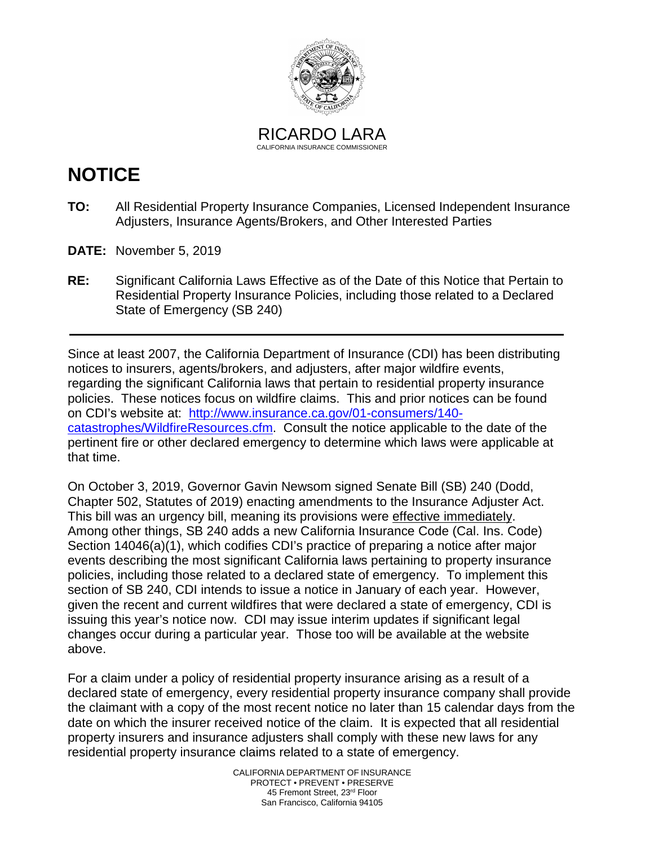

RICARDO LARA CALIFORNIA INSURANCE COMMISSIONER

# **NOTICE**

- **TO:** All Residential Property Insurance Companies, Licensed Independent Insurance Adjusters, Insurance Agents/Brokers, and Other Interested Parties
- **DATE:** November 5, 2019
- **RE:** Significant California Laws Effective as of the Date of this Notice that Pertain to Residential Property Insurance Policies, including those related to a Declared State of Emergency (SB 240)

Since at least 2007, the California Department of Insurance (CDI) has been distributing notices to insurers, agents/brokers, and adjusters, after major wildfire events, regarding the significant California laws that pertain to residential property insurance policies. These notices focus on wildfire claims. This and prior notices can be found on CDI's website at: [http://www.insurance.ca.gov/01-consumers/140](http://www.insurance.ca.gov/01-consumers/140-catastrophes/WildfireResources.cfm) [catastrophes/WildfireResources.cfm.](http://www.insurance.ca.gov/01-consumers/140-catastrophes/WildfireResources.cfm) Consult the notice applicable to the date of the pertinent fire or other declared emergency to determine which laws were applicable at that time.

On October 3, 2019, Governor Gavin Newsom signed Senate Bill (SB) 240 (Dodd, Chapter 502, Statutes of 2019) enacting amendments to the Insurance Adjuster Act. This bill was an urgency bill, meaning its provisions were effective immediately. Among other things, SB 240 adds a new California Insurance Code (Cal. Ins. Code) Section 14046(a)(1), which codifies CDI's practice of preparing a notice after major events describing the most significant California laws pertaining to property insurance policies, including those related to a declared state of emergency. To implement this section of SB 240, CDI intends to issue a notice in January of each year. However, given the recent and current wildfires that were declared a state of emergency, CDI is issuing this year's notice now. CDI may issue interim updates if significant legal changes occur during a particular year. Those too will be available at the website above.

 For a claim under a policy of residential property insurance arising as a result of a date on which the insurer received notice of the claim. It is expected that all residential declared state of emergency, every residential property insurance company shall provide the claimant with a copy of the most recent notice no later than 15 calendar days from the property insurers and insurance adjusters shall comply with these new laws for any residential property insurance claims related to a state of emergency.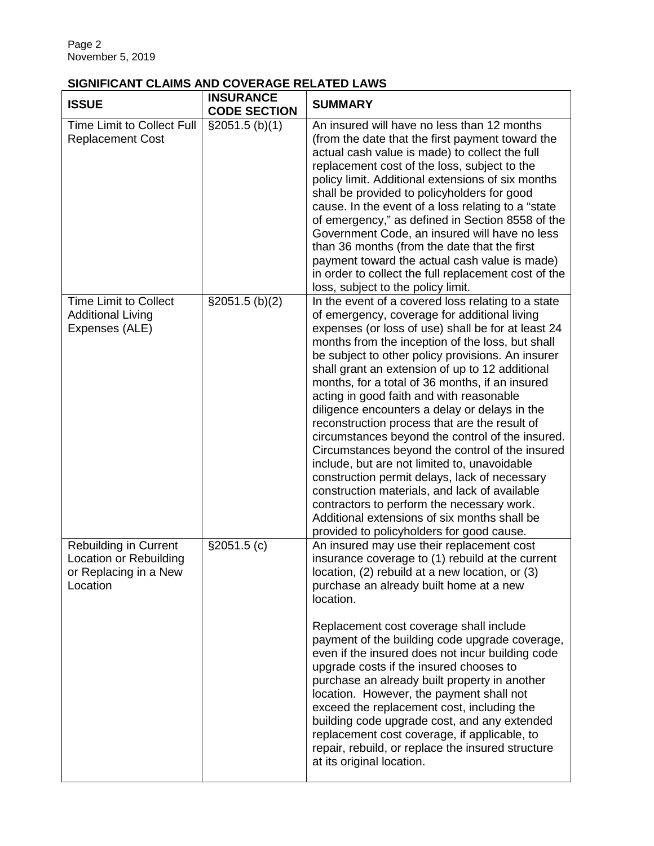# **SIGNIFICANT CLAIMS AND COVERAGE RELATED LAWS**

| <b>ISSUE</b>                                                                                | <b>INSURANCE</b><br><b>CODE SECTION</b> | <b>SUMMARY</b>                                                                                                                                                                                                                                                                                                                                                                                                                                                                                                                                                                                                                                                                                                                                                                                                                                                                                                            |
|---------------------------------------------------------------------------------------------|-----------------------------------------|---------------------------------------------------------------------------------------------------------------------------------------------------------------------------------------------------------------------------------------------------------------------------------------------------------------------------------------------------------------------------------------------------------------------------------------------------------------------------------------------------------------------------------------------------------------------------------------------------------------------------------------------------------------------------------------------------------------------------------------------------------------------------------------------------------------------------------------------------------------------------------------------------------------------------|
| <b>Time Limit to Collect Full</b><br><b>Replacement Cost</b>                                | \$2051.5(b)(1)                          | An insured will have no less than 12 months<br>(from the date that the first payment toward the<br>actual cash value is made) to collect the full<br>replacement cost of the loss, subject to the<br>policy limit. Additional extensions of six months<br>shall be provided to policyholders for good<br>cause. In the event of a loss relating to a "state"<br>of emergency," as defined in Section 8558 of the<br>Government Code, an insured will have no less<br>than 36 months (from the date that the first<br>payment toward the actual cash value is made)<br>in order to collect the full replacement cost of the<br>loss, subject to the policy limit.                                                                                                                                                                                                                                                          |
| <b>Time Limit to Collect</b><br><b>Additional Living</b><br>Expenses (ALE)                  | \$2051.5~(b)(2)                         | In the event of a covered loss relating to a state<br>of emergency, coverage for additional living<br>expenses (or loss of use) shall be for at least 24<br>months from the inception of the loss, but shall<br>be subject to other policy provisions. An insurer<br>shall grant an extension of up to 12 additional<br>months, for a total of 36 months, if an insured<br>acting in good faith and with reasonable<br>diligence encounters a delay or delays in the<br>reconstruction process that are the result of<br>circumstances beyond the control of the insured.<br>Circumstances beyond the control of the insured<br>include, but are not limited to, unavoidable<br>construction permit delays, lack of necessary<br>construction materials, and lack of available<br>contractors to perform the necessary work.<br>Additional extensions of six months shall be<br>provided to policyholders for good cause. |
| <b>Rebuilding in Current</b><br>Location or Rebuilding<br>or Replacing in a New<br>Location | \$2051.5(c)                             | An insured may use their replacement cost<br>insurance coverage to (1) rebuild at the current<br>location, (2) rebuild at a new location, or (3)<br>purchase an already built home at a new<br>location.<br>Replacement cost coverage shall include<br>payment of the building code upgrade coverage,<br>even if the insured does not incur building code<br>upgrade costs if the insured chooses to<br>purchase an already built property in another<br>location. However, the payment shall not<br>exceed the replacement cost, including the<br>building code upgrade cost, and any extended<br>replacement cost coverage, if applicable, to<br>repair, rebuild, or replace the insured structure<br>at its original location.                                                                                                                                                                                         |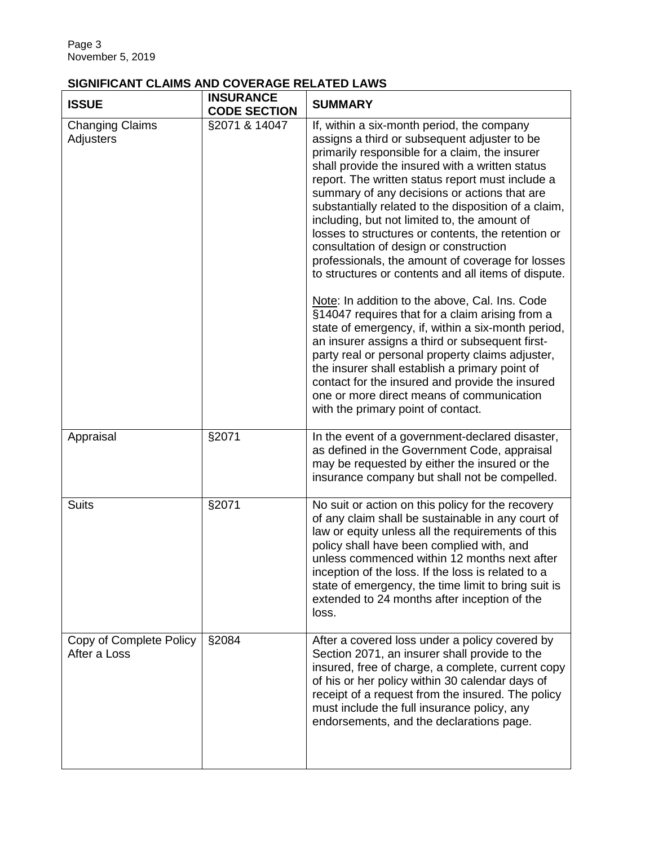# **SIGNIFICANT CLAIMS AND COVERAGE RELATED LAWS**

| <b>ISSUE</b>                            | <b>INSURANCE</b><br><b>CODE SECTION</b> | <b>SUMMARY</b>                                                                                                                                                                                                                                                                                                                                                                                                                                                                                                                                                                                                                                                                                                                                                                                                                                                                                                                                                                                                                                                                   |
|-----------------------------------------|-----------------------------------------|----------------------------------------------------------------------------------------------------------------------------------------------------------------------------------------------------------------------------------------------------------------------------------------------------------------------------------------------------------------------------------------------------------------------------------------------------------------------------------------------------------------------------------------------------------------------------------------------------------------------------------------------------------------------------------------------------------------------------------------------------------------------------------------------------------------------------------------------------------------------------------------------------------------------------------------------------------------------------------------------------------------------------------------------------------------------------------|
| <b>Changing Claims</b><br>Adjusters     | §2071 & 14047                           | If, within a six-month period, the company<br>assigns a third or subsequent adjuster to be<br>primarily responsible for a claim, the insurer<br>shall provide the insured with a written status<br>report. The written status report must include a<br>summary of any decisions or actions that are<br>substantially related to the disposition of a claim,<br>including, but not limited to, the amount of<br>losses to structures or contents, the retention or<br>consultation of design or construction<br>professionals, the amount of coverage for losses<br>to structures or contents and all items of dispute.<br>Note: In addition to the above, Cal. Ins. Code<br>§14047 requires that for a claim arising from a<br>state of emergency, if, within a six-month period,<br>an insurer assigns a third or subsequent first-<br>party real or personal property claims adjuster,<br>the insurer shall establish a primary point of<br>contact for the insured and provide the insured<br>one or more direct means of communication<br>with the primary point of contact. |
| Appraisal                               | §2071                                   | In the event of a government-declared disaster,<br>as defined in the Government Code, appraisal<br>may be requested by either the insured or the<br>insurance company but shall not be compelled.                                                                                                                                                                                                                                                                                                                                                                                                                                                                                                                                                                                                                                                                                                                                                                                                                                                                                |
| <b>Suits</b>                            | §2071                                   | No suit or action on this policy for the recovery<br>of any claim shall be sustainable in any court of<br>law or equity unless all the requirements of this<br>policy shall have been complied with, and<br>unless commenced within 12 months next after<br>inception of the loss. If the loss is related to a<br>state of emergency, the time limit to bring suit is<br>extended to 24 months after inception of the<br>loss.                                                                                                                                                                                                                                                                                                                                                                                                                                                                                                                                                                                                                                                   |
| Copy of Complete Policy<br>After a Loss | §2084                                   | After a covered loss under a policy covered by<br>Section 2071, an insurer shall provide to the<br>insured, free of charge, a complete, current copy<br>of his or her policy within 30 calendar days of<br>receipt of a request from the insured. The policy<br>must include the full insurance policy, any<br>endorsements, and the declarations page.                                                                                                                                                                                                                                                                                                                                                                                                                                                                                                                                                                                                                                                                                                                          |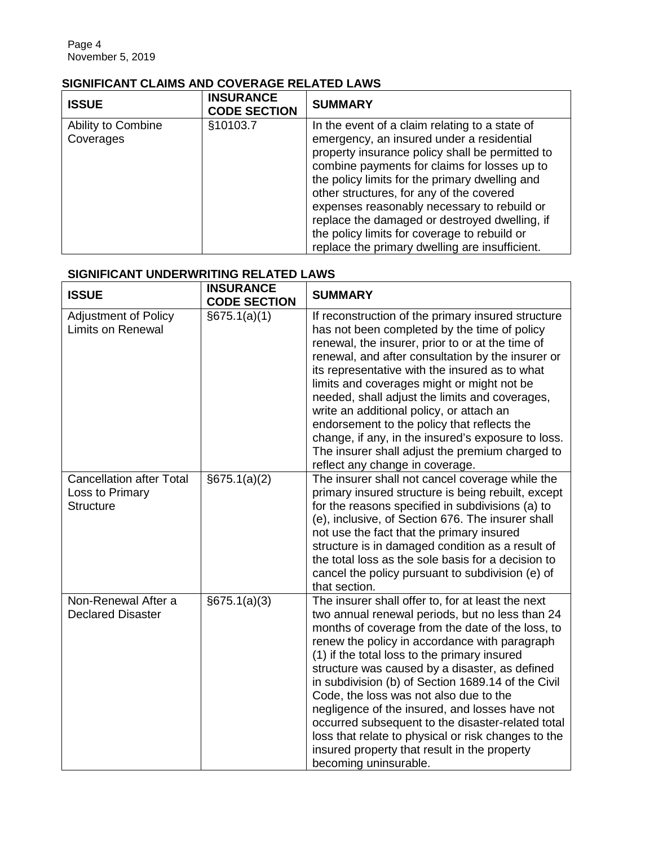### **SIGNIFICANT CLAIMS AND COVERAGE RELATED LAWS**

| <b>ISSUE</b>                    | <b>INSURANCE</b><br><b>CODE SECTION</b> | <b>SUMMARY</b>                                                                                                                                                                                                                                                                                                                                                                                                                                                                                 |
|---------------------------------|-----------------------------------------|------------------------------------------------------------------------------------------------------------------------------------------------------------------------------------------------------------------------------------------------------------------------------------------------------------------------------------------------------------------------------------------------------------------------------------------------------------------------------------------------|
| Ability to Combine<br>Coverages | §10103.7                                | In the event of a claim relating to a state of<br>emergency, an insured under a residential<br>property insurance policy shall be permitted to<br>combine payments for claims for losses up to<br>the policy limits for the primary dwelling and<br>other structures, for any of the covered<br>expenses reasonably necessary to rebuild or<br>replace the damaged or destroyed dwelling, if<br>the policy limits for coverage to rebuild or<br>replace the primary dwelling are insufficient. |

#### **SIGNIFICANT UNDERWRITING RELATED LAWS**

| <b>ISSUE</b>                                                           | <b>INSURANCE</b><br><b>CODE SECTION</b> | <b>SUMMARY</b>                                                                                                                                                                                                                                                                                                                                                                                                                                                                                                                                                                                                                                     |
|------------------------------------------------------------------------|-----------------------------------------|----------------------------------------------------------------------------------------------------------------------------------------------------------------------------------------------------------------------------------------------------------------------------------------------------------------------------------------------------------------------------------------------------------------------------------------------------------------------------------------------------------------------------------------------------------------------------------------------------------------------------------------------------|
| Adjustment of Policy<br><b>Limits on Renewal</b>                       | $\sqrt{675.1(a)(1)}$                    | If reconstruction of the primary insured structure<br>has not been completed by the time of policy<br>renewal, the insurer, prior to or at the time of<br>renewal, and after consultation by the insurer or<br>its representative with the insured as to what<br>limits and coverages might or might not be<br>needed, shall adjust the limits and coverages,<br>write an additional policy, or attach an<br>endorsement to the policy that reflects the<br>change, if any, in the insured's exposure to loss.<br>The insurer shall adjust the premium charged to<br>reflect any change in coverage.                                               |
| <b>Cancellation after Total</b><br>Loss to Primary<br><b>Structure</b> | §675.1(a)(2)                            | The insurer shall not cancel coverage while the<br>primary insured structure is being rebuilt, except<br>for the reasons specified in subdivisions (a) to<br>(e), inclusive, of Section 676. The insurer shall<br>not use the fact that the primary insured<br>structure is in damaged condition as a result of<br>the total loss as the sole basis for a decision to<br>cancel the policy pursuant to subdivision (e) of<br>that section.                                                                                                                                                                                                         |
| Non-Renewal After a<br><b>Declared Disaster</b>                        | §675.1(a)(3)                            | The insurer shall offer to, for at least the next<br>two annual renewal periods, but no less than 24<br>months of coverage from the date of the loss, to<br>renew the policy in accordance with paragraph<br>(1) if the total loss to the primary insured<br>structure was caused by a disaster, as defined<br>in subdivision (b) of Section 1689.14 of the Civil<br>Code, the loss was not also due to the<br>negligence of the insured, and losses have not<br>occurred subsequent to the disaster-related total<br>loss that relate to physical or risk changes to the<br>insured property that result in the property<br>becoming uninsurable. |